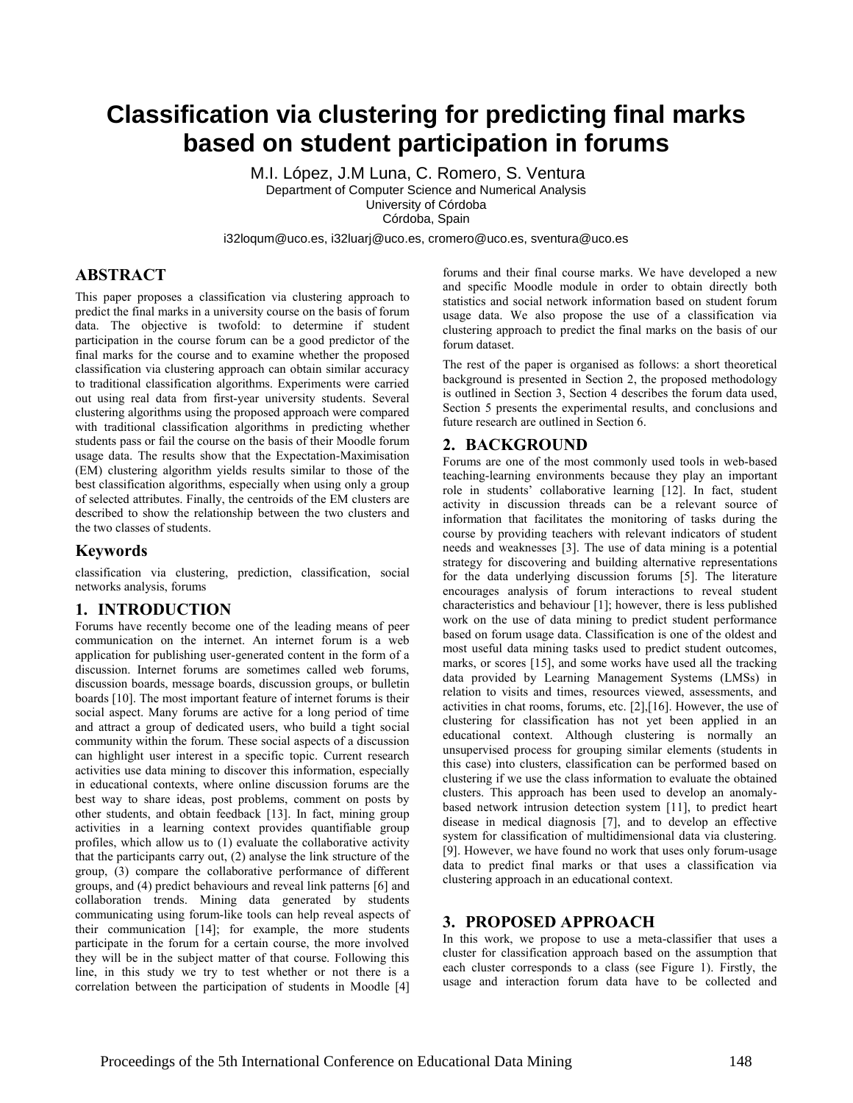# **Classification via clustering for predicting final marks based on student participation in forums**

M.I. López, J.M Luna, C. Romero, S. Ventura Department of Computer Science and Numerical Analysis University of Córdoba Córdoba, Spain

i32loqum@uco.es, i32luarj@uco.es, cromero@uco.es, sventura@uco.es

## **ABSTRACT**

This paper proposes a classification via clustering approach to predict the final marks in a university course on the basis of forum data. The objective is twofold: to determine if student participation in the course forum can be a good predictor of the final marks for the course and to examine whether the proposed classification via clustering approach can obtain similar accuracy to traditional classification algorithms. Experiments were carried out using real data from first-year university students. Several clustering algorithms using the proposed approach were compared with traditional classification algorithms in predicting whether students pass or fail the course on the basis of their Moodle forum usage data. The results show that the Expectation-Maximisation (EM) clustering algorithm yields results similar to those of the best classification algorithms, especially when using only a group of selected attributes. Finally, the centroids of the EM clusters are described to show the relationship between the two clusters and the two classes of students.

#### **Keywords**

classification via clustering, prediction, classification, social networks analysis, forums

## **1. INTRODUCTION**

Forums have recently become one of the leading means of peer communication on the internet. An internet forum is a web application for publishing user-generated content in the form of a discussion. Internet forums are sometimes called web forums, discussion boards, message boards, discussion groups, or bulletin board[s \[10\].](#page-3-0) The most important feature of internet forums is their social aspect. Many forums are active for a long period of time and attract a group of dedicated users, who build a tight social community within the forum. These social aspects of a discussion can highlight user interest in a specific topic. Current research activities use data mining to discover this information, especially in educational contexts, where online discussion forums are the best way to share ideas, post problems, comment on posts by other students, and obtain feedback [\[13\].](#page-3-1) In fact, mining group activities in a learning context provides quantifiable group profiles, which allow us to (1) evaluate the collaborative activity that the participants carry out, (2) analyse the link structure of the group, (3) compare the collaborative performance of different groups, and (4) predict behaviours and reveal link patterns [\[6\]](#page-3-2) and collaboration trends. Mining data generated by students communicating using forum-like tools can help reveal aspects of their communication [\[14\];](#page-3-3) for example, the more students participate in the forum for a certain course, the more involved they will be in the subject matter of that course. Following this line, in this study we try to test whether or not there is a correlation between the participation of students in Moodle [\[4\]](#page-3-4)

forums and their final course marks. We have developed a new and specific Moodle module in order to obtain directly both statistics and social network information based on student forum usage data. We also propose the use of a classification via clustering approach to predict the final marks on the basis of our forum dataset.

The rest of the paper is organised as follows: a short theoretical background is presented in Section 2, the proposed methodology is outlined in Section 3, Section 4 describes the forum data used, Section 5 presents the experimental results, and conclusions and future research are outlined in Section 6.

## **2. BACKGROUND**

Forums are one of the most commonly used tools in web-based teaching-learning environments because they play an important role in students' collaborative learning [\[12\].](#page-3-5) In fact, student activity in discussion threads can be a relevant source of information that facilitates the monitoring of tasks during the course by providing teachers with relevant indicators of student needs and weaknesses [\[3\].](#page-3-6) The use of data mining is a potential strategy for discovering and building alternative representations for the data underlying discussion forums [\[5\].](#page-3-7) The literature encourages analysis of forum interactions to reveal student characteristics and behaviour [\[1\];](#page-3-8) however, there is less published work on the use of data mining to predict student performance based on forum usage data. Classification is one of the oldest and most useful data mining tasks used to predict student outcomes, marks, or scores [\[15\],](#page-3-9) and some works have used all the tracking data provided by Learning Management Systems (LMSs) in relation to visits and times, resources viewed, assessments, and activities in chat rooms, forums, etc. [\[2\]](#page-3-10)[,\[16\].](#page-3-11) However, the use of clustering for classification has not yet been applied in an educational context. Although clustering is normally an unsupervised process for grouping similar elements (students in this case) into clusters, classification can be performed based on clustering if we use the class information to evaluate the obtained clusters. This approach has been used to develop an anomalybased network intrusion detection system [\[11\],](#page-3-12) to predict heart disease in medical diagnosis [\[7\],](#page-3-13) and to develop an effective system for classification of multidimensional data via clustering. [\[9\].](#page-3-14) However, we have found no work that uses only forum-usage data to predict final marks or that uses a classification via clustering approach in an educational context.

## **3. PROPOSED APPROACH**

In this work, we propose to use a meta-classifier that uses a cluster for classification approach based on the assumption that each cluster corresponds to a class (see Figure 1). Firstly, the usage and interaction forum data have to be collected and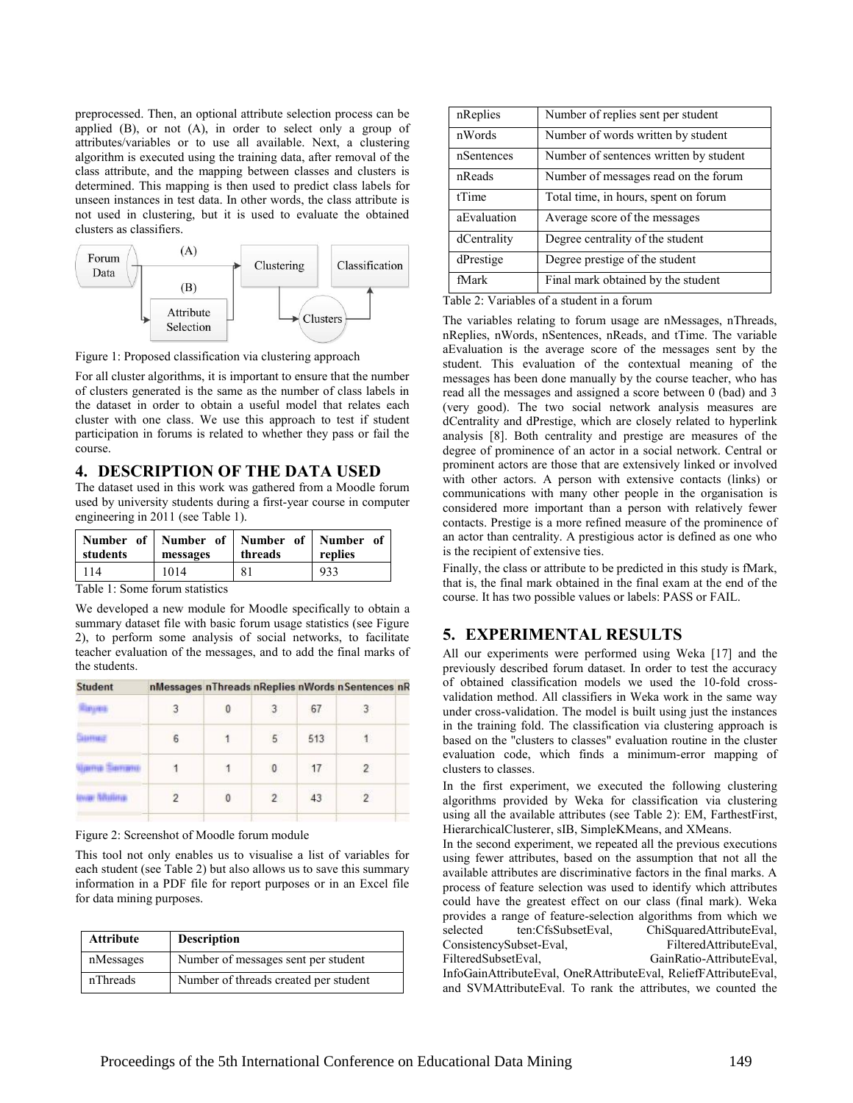preprocessed. Then, an optional attribute selection process can be applied (B), or not (A), in order to select only a group of attributes/variables or to use all available. Next, a clustering algorithm is executed using the training data, after removal of the class attribute, and the mapping between classes and clusters is determined. This mapping is then used to predict class labels for unseen instances in test data. In other words, the class attribute is not used in clustering, but it is used to evaluate the obtained clusters as classifiers.



Figure 1: Proposed classification via clustering approach

For all cluster algorithms, it is important to ensure that the number of clusters generated is the same as the number of class labels in the dataset in order to obtain a useful model that relates each cluster with one class. We use this approach to test if student participation in forums is related to whether they pass or fail the course.

## **4. DESCRIPTION OF THE DATA USED**

The dataset used in this work was gathered from a Moodle forum used by university students during a first-year course in computer engineering in 2011 (see Table 1).

| Number of Number of Number of Number of<br><b>students</b> | messages | threads | replies |
|------------------------------------------------------------|----------|---------|---------|
| 114                                                        | 1014     | 81      | 933     |

Table 1: Some forum statistics

We developed a new module for Moodle specifically to obtain a summary dataset file with basic forum usage statistics (see Figure 2), to perform some analysis of social networks, to facilitate teacher evaluation of the messages, and to add the final marks of the students.

| <b>Student</b> | nMessages nThreads nReplies nWords nSentences nR |  |  |
|----------------|--------------------------------------------------|--|--|
|                |                                                  |  |  |

|   |   | $\Omega$<br>œ | $\sim$<br>$\circ$ | 67  |     |  |
|---|---|---------------|-------------------|-----|-----|--|
| × | 6 |               | 5                 | 513 | 1., |  |
|   |   |               | 0                 | 17  | c   |  |
|   | w | 0             |                   | 43  | 2   |  |
|   |   |               |                   |     |     |  |

Figure 2: Screenshot of Moodle forum module

This tool not only enables us to visualise a list of variables for each student (see Table 2) but also allows us to save this summary information in a PDF file for report purposes or in an Excel file for data mining purposes.

| <b>Attribute</b> | <b>Description</b>                    |
|------------------|---------------------------------------|
| nMessages        | Number of messages sent per student   |
| nThreads         | Number of threads created per student |

| nReplies    | Number of replies sent per student     |
|-------------|----------------------------------------|
| nWords      | Number of words written by student     |
| nSentences  | Number of sentences written by student |
| nReads      | Number of messages read on the forum   |
| tTime       | Total time, in hours, spent on forum   |
| aEvaluation | Average score of the messages          |
| dCentrality | Degree centrality of the student       |
| dPrestige   | Degree prestige of the student         |
| fMark       | Final mark obtained by the student     |

Table 2: Variables of a student in a forum

The variables relating to forum usage are nMessages, nThreads, nReplies, nWords, nSentences, nReads, and tTime. The variable aEvaluation is the average score of the messages sent by the student. This evaluation of the contextual meaning of the messages has been done manually by the course teacher, who has read all the messages and assigned a score between 0 (bad) and 3 (very good). The two social network analysis measures are dCentrality and dPrestige, which are closely related to hyperlink analysis [\[8\].](#page-3-15) Both centrality and prestige are measures of the degree of prominence of an actor in a social network. Central or prominent actors are those that are extensively linked or involved with other actors. A person with extensive contacts (links) or communications with many other people in the organisation is considered more important than a person with relatively fewer contacts. Prestige is a more refined measure of the prominence of an actor than centrality. A prestigious actor is defined as one who is the recipient of extensive ties.

Finally, the class or attribute to be predicted in this study is fMark, that is, the final mark obtained in the final exam at the end of the course. It has two possible values or labels: PASS or FAIL.

## **5. EXPERIMENTAL RESULTS**

All our experiments were performed using Weka [\[17\]](#page-3-16) and the previously described forum dataset. In order to test the accuracy of obtained classification models we used the 10-fold crossvalidation method. All classifiers in Weka work in the same way under cross-validation. The model is built using just the instances in the training fold. The classification via clustering approach is based on the "clusters to classes" evaluation routine in the cluster evaluation code, which finds a minimum-error mapping of clusters to classes.

In the first experiment, we executed the following clustering algorithms provided by Weka for classification via clustering using all the available attributes (see Table 2): EM, FarthestFirst, HierarchicalClusterer, sIB, SimpleKMeans, and XMeans.

In the second experiment, we repeated all the previous executions using fewer attributes, based on the assumption that not all the available attributes are discriminative factors in the final marks. A process of feature selection was used to identify which attributes could have the greatest effect on our class (final mark). Weka provides a range of feature-selection algorithms from which we selected ten:CfsSubsetEval, ChiSquaredAttributeEval, ConsistencySubset-Eval, FilteredAttributeEval, FilteredSubsetEval, GainRatio-AttributeEval, InfoGainAttributeEval, OneRAttributeEval, ReliefFAttributeEval, and SVMAttributeEval. To rank the attributes, we counted the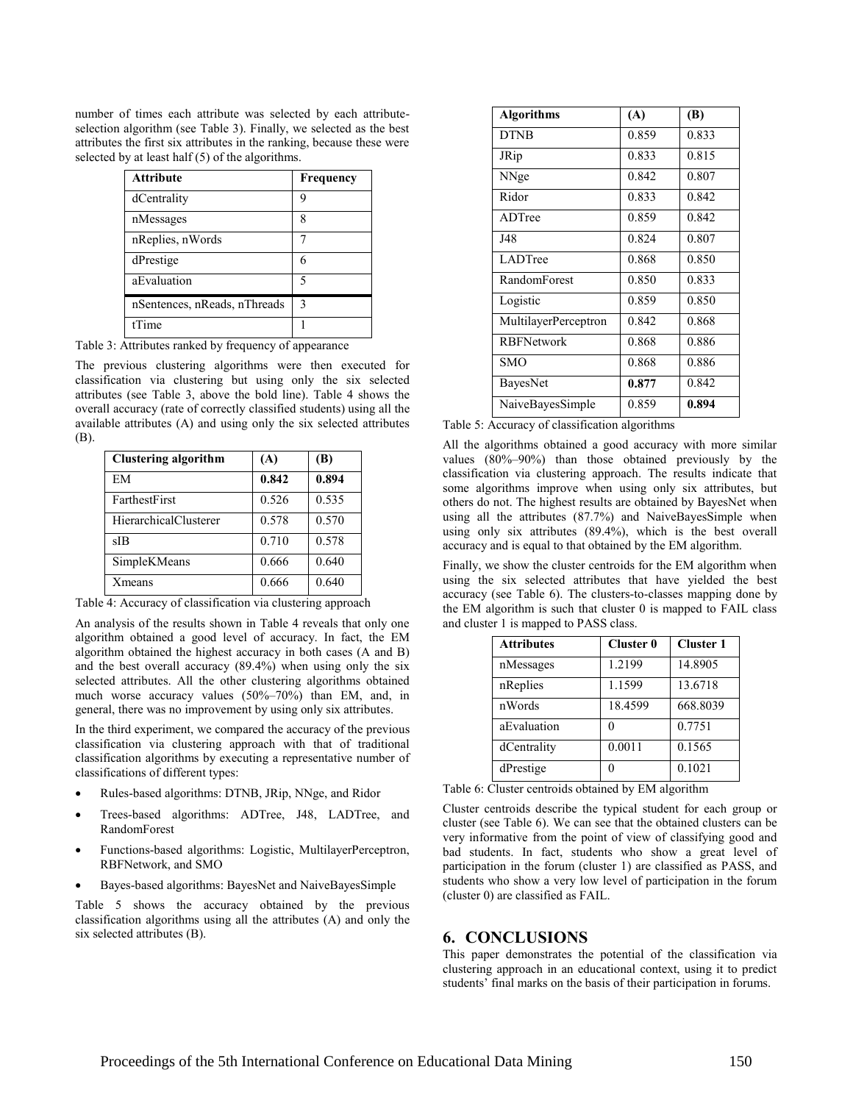number of times each attribute was selected by each attributeselection algorithm (see Table 3). Finally, we selected as the best attributes the first six attributes in the ranking, because these were selected by at least half (5) of the algorithms.

| <b>Attribute</b>             | Frequency     |
|------------------------------|---------------|
| dCentrality                  | y             |
| nMessages                    | 8             |
| nReplies, nWords             |               |
| dPrestige                    |               |
| aEvaluation                  | 5             |
| nSentences, nReads, nThreads | $\mathcal{E}$ |
| <sup>tTime</sup>             |               |

Table 3: Attributes ranked by frequency of appearance

The previous clustering algorithms were then executed for classification via clustering but using only the six selected attributes (see Table 3, above the bold line). Table 4 shows the overall accuracy (rate of correctly classified students) using all the available attributes (A) and using only the six selected attributes (B).

| <b>Clustering algorithm</b> | (A)   | (B)   |
|-----------------------------|-------|-------|
| EM                          | 0.842 | 0.894 |
| FarthestFirst               | 0.526 | 0.535 |
| HierarchicalClusterer       | 0.578 | 0.570 |
| sIB                         | 0.710 | 0.578 |
| SimpleKMeans                | 0.666 | 0.640 |
| <b>X</b> means              | 0.666 | 0.640 |

Table 4: Accuracy of classification via clustering approach

An analysis of the results shown in Table 4 reveals that only one algorithm obtained a good level of accuracy. In fact, the EM algorithm obtained the highest accuracy in both cases (A and B) and the best overall accuracy (89.4%) when using only the six selected attributes. All the other clustering algorithms obtained much worse accuracy values (50%–70%) than EM, and, in general, there was no improvement by using only six attributes.

In the third experiment, we compared the accuracy of the previous classification via clustering approach with that of traditional classification algorithms by executing a representative number of classifications of different types:

- Rules-based algorithms: DTNB, JRip, NNge, and Ridor
- Trees-based algorithms: ADTree, J48, LADTree, and RandomForest
- Functions-based algorithms: Logistic, MultilayerPerceptron, RBFNetwork, and SMO
- Bayes-based algorithms: BayesNet and NaiveBayesSimple

Table 5 shows the accuracy obtained by the previous classification algorithms using all the attributes (A) and only the six selected attributes (B).

| <b>Algorithms</b>    | (A)   | (B)   |
|----------------------|-------|-------|
| <b>DTNB</b>          | 0.859 | 0.833 |
| JRip                 | 0.833 | 0.815 |
| NNge                 | 0.842 | 0.807 |
| Ridor                | 0.833 | 0.842 |
| ADTree               | 0.859 | 0.842 |
| J48                  | 0.824 | 0.807 |
| LADTree              | 0.868 | 0.850 |
| RandomForest         | 0.850 | 0.833 |
| Logistic             | 0.859 | 0.850 |
| MultilayerPerceptron | 0.842 | 0.868 |
| <b>RBFNetwork</b>    | 0.868 | 0.886 |
| SMO                  | 0.868 | 0.886 |
| BayesNet             | 0.877 | 0.842 |
| NaiveBayesSimple     | 0.859 | 0.894 |

Table 5: Accuracy of classification algorithms

All the algorithms obtained a good accuracy with more similar values (80%–90%) than those obtained previously by the classification via clustering approach. The results indicate that some algorithms improve when using only six attributes, but others do not. The highest results are obtained by BayesNet when using all the attributes (87.7%) and NaiveBayesSimple when using only six attributes (89.4%), which is the best overall accuracy and is equal to that obtained by the EM algorithm.

Finally, we show the cluster centroids for the EM algorithm when using the six selected attributes that have yielded the best accuracy (see Table 6). The clusters-to-classes mapping done by the EM algorithm is such that cluster 0 is mapped to FAIL class and cluster 1 is mapped to PASS class.

| <b>Attributes</b> | Cluster 0 | <b>Cluster 1</b> |
|-------------------|-----------|------------------|
| nMessages         | 1.2199    | 14.8905          |
| nReplies          | 1.1599    | 13.6718          |
| nWords            | 18.4599   | 668.8039         |
| aEvaluation       |           | 0.7751           |
| dCentrality       | 0.0011    | 0.1565           |
| dPrestige         |           | 0.1021           |

Table 6: Cluster centroids obtained by EM algorithm

Cluster centroids describe the typical student for each group or cluster (see Table 6). We can see that the obtained clusters can be very informative from the point of view of classifying good and bad students. In fact, students who show a great level of participation in the forum (cluster 1) are classified as PASS, and students who show a very low level of participation in the forum (cluster 0) are classified as FAIL.

## **6. CONCLUSIONS**

This paper demonstrates the potential of the classification via clustering approach in an educational context, using it to predict students' final marks on the basis of their participation in forums.